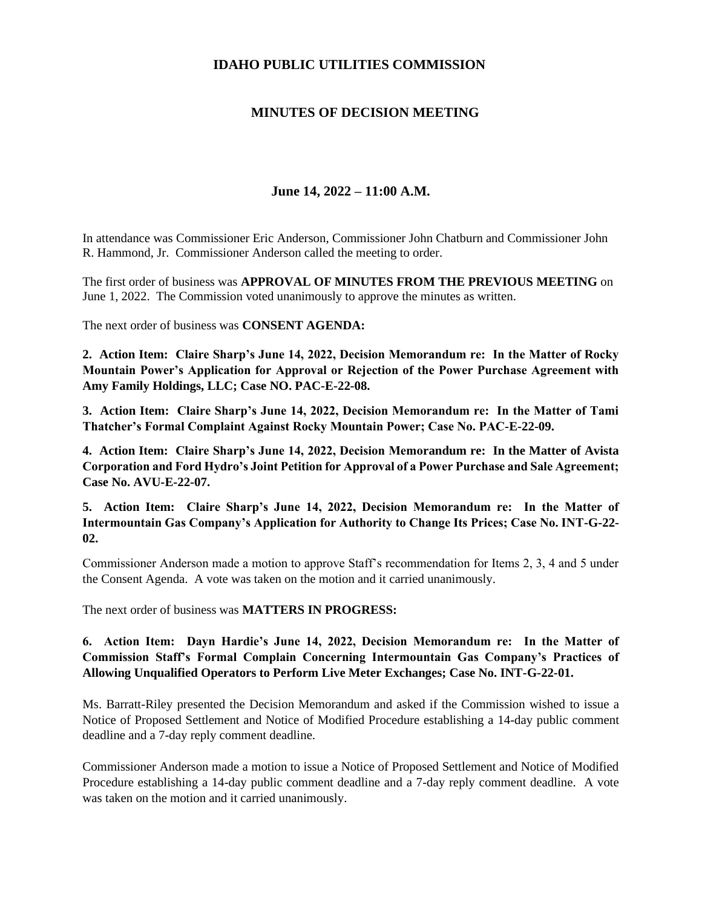## **IDAHO PUBLIC UTILITIES COMMISSION**

## **MINUTES OF DECISION MEETING**

## **June 14, 2022 – 11:00 A.M.**

In attendance was Commissioner Eric Anderson, Commissioner John Chatburn and Commissioner John R. Hammond, Jr. Commissioner Anderson called the meeting to order.

The first order of business was **APPROVAL OF MINUTES FROM THE PREVIOUS MEETING** on June 1, 2022. The Commission voted unanimously to approve the minutes as written.

The next order of business was **CONSENT AGENDA:**

**2. Action Item: Claire Sharp's June 14, 2022, Decision Memorandum re: In the Matter of Rocky Mountain Power's Application for Approval or Rejection of the Power Purchase Agreement with Amy Family Holdings, LLC; Case NO. PAC-E-22-08.**

**3. Action Item: Claire Sharp's June 14, 2022, Decision Memorandum re: In the Matter of Tami Thatcher's Formal Complaint Against Rocky Mountain Power; Case No. PAC-E-22-09.**

**4. Action Item: Claire Sharp's June 14, 2022, Decision Memorandum re: In the Matter of Avista Corporation and Ford Hydro's Joint Petition for Approval of a Power Purchase and Sale Agreement; Case No. AVU-E-22-07.**

**5. Action Item: Claire Sharp's June 14, 2022, Decision Memorandum re: In the Matter of Intermountain Gas Company's Application for Authority to Change Its Prices; Case No. INT-G-22- 02.**

Commissioner Anderson made a motion to approve Staff's recommendation for Items 2, 3, 4 and 5 under the Consent Agenda. A vote was taken on the motion and it carried unanimously.

The next order of business was **MATTERS IN PROGRESS:**

## **6. Action Item: Dayn Hardie's June 14, 2022, Decision Memorandum re: In the Matter of Commission Staff's Formal Complain Concerning Intermountain Gas Company's Practices of Allowing Unqualified Operators to Perform Live Meter Exchanges; Case No. INT-G-22-01.**

Ms. Barratt-Riley presented the Decision Memorandum and asked if the Commission wished to issue a Notice of Proposed Settlement and Notice of Modified Procedure establishing a 14-day public comment deadline and a 7-day reply comment deadline.

Commissioner Anderson made a motion to issue a Notice of Proposed Settlement and Notice of Modified Procedure establishing a 14-day public comment deadline and a 7-day reply comment deadline. A vote was taken on the motion and it carried unanimously.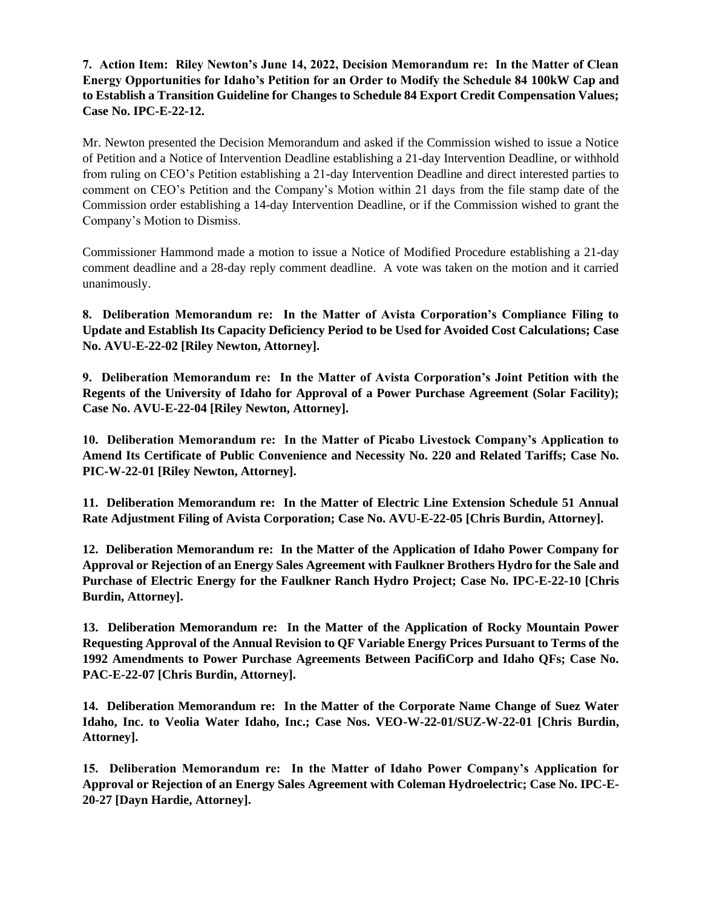**7. Action Item: Riley Newton's June 14, 2022, Decision Memorandum re: In the Matter of Clean Energy Opportunities for Idaho's Petition for an Order to Modify the Schedule 84 100kW Cap and to Establish a Transition Guideline for Changes to Schedule 84 Export Credit Compensation Values; Case No. IPC-E-22-12.**

Mr. Newton presented the Decision Memorandum and asked if the Commission wished to issue a Notice of Petition and a Notice of Intervention Deadline establishing a 21-day Intervention Deadline, or withhold from ruling on CEO's Petition establishing a 21-day Intervention Deadline and direct interested parties to comment on CEO's Petition and the Company's Motion within 21 days from the file stamp date of the Commission order establishing a 14-day Intervention Deadline, or if the Commission wished to grant the Company's Motion to Dismiss.

Commissioner Hammond made a motion to issue a Notice of Modified Procedure establishing a 21-day comment deadline and a 28-day reply comment deadline. A vote was taken on the motion and it carried unanimously.

**8. Deliberation Memorandum re: In the Matter of Avista Corporation's Compliance Filing to Update and Establish Its Capacity Deficiency Period to be Used for Avoided Cost Calculations; Case No. AVU-E-22-02 [Riley Newton, Attorney].**

**9. Deliberation Memorandum re: In the Matter of Avista Corporation's Joint Petition with the Regents of the University of Idaho for Approval of a Power Purchase Agreement (Solar Facility); Case No. AVU-E-22-04 [Riley Newton, Attorney].**

**10. Deliberation Memorandum re: In the Matter of Picabo Livestock Company's Application to Amend Its Certificate of Public Convenience and Necessity No. 220 and Related Tariffs; Case No. PIC-W-22-01 [Riley Newton, Attorney].**

**11. Deliberation Memorandum re: In the Matter of Electric Line Extension Schedule 51 Annual Rate Adjustment Filing of Avista Corporation; Case No. AVU-E-22-05 [Chris Burdin, Attorney].**

**12. Deliberation Memorandum re: In the Matter of the Application of Idaho Power Company for Approval or Rejection of an Energy Sales Agreement with Faulkner Brothers Hydro for the Sale and Purchase of Electric Energy for the Faulkner Ranch Hydro Project; Case No. IPC-E-22-10 [Chris Burdin, Attorney].**

**13. Deliberation Memorandum re: In the Matter of the Application of Rocky Mountain Power Requesting Approval of the Annual Revision to QF Variable Energy Prices Pursuant to Terms of the 1992 Amendments to Power Purchase Agreements Between PacifiCorp and Idaho QFs; Case No. PAC-E-22-07 [Chris Burdin, Attorney].**

**14. Deliberation Memorandum re: In the Matter of the Corporate Name Change of Suez Water Idaho, Inc. to Veolia Water Idaho, Inc.; Case Nos. VEO-W-22-01/SUZ-W-22-01 [Chris Burdin, Attorney].**

**15. Deliberation Memorandum re: In the Matter of Idaho Power Company's Application for Approval or Rejection of an Energy Sales Agreement with Coleman Hydroelectric; Case No. IPC-E-20-27 [Dayn Hardie, Attorney].**